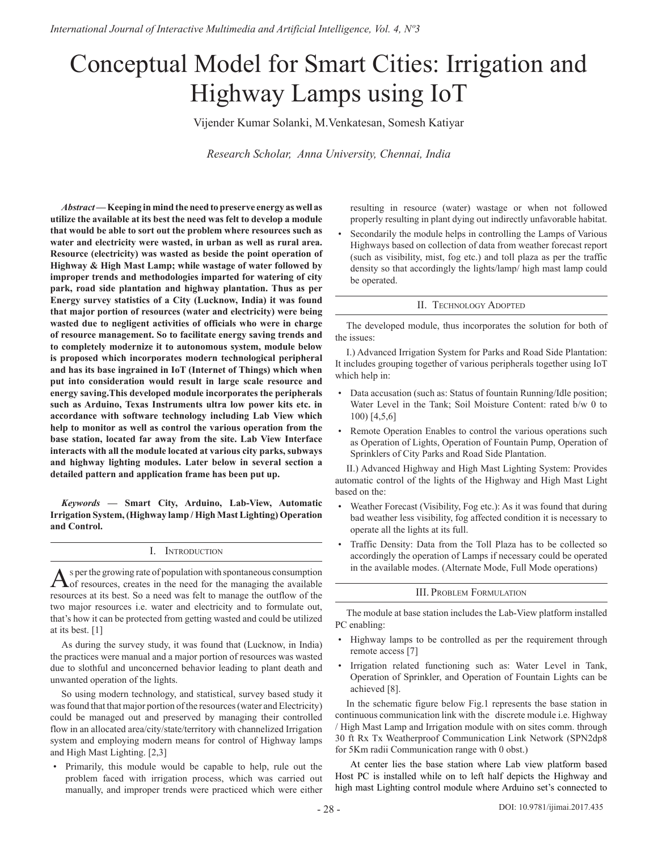# Conceptual Model for Smart Cities: Irrigation and Highway Lamps using IoT

Vijender Kumar Solanki, M.Venkatesan, Somesh Katiyar

*Research Scholar, Anna University, Chennai, India*

*Abstract* **— Keeping in mind the need to preserve energy as well as utilize the available at its best the need was felt to develop a module that would be able to sort out the problem where resources such as water and electricity were wasted, in urban as well as rural area. Resource (electricity) was wasted as beside the point operation of Highway & High Mast Lamp; while wastage of water followed by improper trends and methodologies imparted for watering of city park, road side plantation and highway plantation. Thus as per Energy survey statistics of a City (Lucknow, India) it was found that major portion of resources (water and electricity) were being wasted due to negligent activities of officials who were in charge of resource management. So to facilitate energy saving trends and to completely modernize it to autonomous system, module below is proposed which incorporates modern technological peripheral and has its base ingrained in IoT (Internet of Things) which when put into consideration would result in large scale resource and energy saving.This developed module incorporates the peripherals such as Arduino, Texas Instruments ultra low power kits etc. in accordance with software technology including Lab View which help to monitor as well as control the various operation from the base station, located far away from the site. Lab View Interface interacts with all the module located at various city parks, subways and highway lighting modules. Later below in several section a detailed pattern and application frame has been put up.**

*Keywords* **— Smart City, Arduino, Lab-View, Automatic Irrigation System, (Highway lamp / High Mast Lighting) Operation and Control.**

# I. Introduction

As per the growing rate of population with spontaneous consumption of resources, creates in the need for the managing the available resources at its best. So a need was felt to manage the outflow of the two major resources i.e. water and electricity and to formulate out, that's how it can be protected from getting wasted and could be utilized at its best. [1]

As during the survey study, it was found that (Lucknow, in India) the practices were manual and a major portion of resources was wasted due to slothful and unconcerned behavior leading to plant death and unwanted operation of the lights.

So using modern technology, and statistical, survey based study it was found that that major portion of the resources (water and Electricity) could be managed out and preserved by managing their controlled flow in an allocated area/city/state/territory with channelized Irrigation system and employing modern means for control of Highway lamps and High Mast Lighting. [2,3]

• Primarily, this module would be capable to help, rule out the problem faced with irrigation process, which was carried out manually, and improper trends were practiced which were either resulting in resource (water) wastage or when not followed properly resulting in plant dying out indirectly unfavorable habitat.

Secondarily the module helps in controlling the Lamps of Various Highways based on collection of data from weather forecast report (such as visibility, mist, fog etc.) and toll plaza as per the traffic density so that accordingly the lights/lamp/ high mast lamp could be operated.

### II. Technology Adopted

The developed module, thus incorporates the solution for both of the issues:

I.) Advanced Irrigation System for Parks and Road Side Plantation: It includes grouping together of various peripherals together using IoT which help in:

- Data accusation (such as: Status of fountain Running/Idle position; Water Level in the Tank; Soil Moisture Content: rated b/w 0 to 100) [4,5,6]
- Remote Operation Enables to control the various operations such as Operation of Lights, Operation of Fountain Pump, Operation of Sprinklers of City Parks and Road Side Plantation.

II.) Advanced Highway and High Mast Lighting System: Provides automatic control of the lights of the Highway and High Mast Light based on the:

- Weather Forecast (Visibility, Fog etc.): As it was found that during bad weather less visibility, fog affected condition it is necessary to operate all the lights at its full.
- Traffic Density: Data from the Toll Plaza has to be collected so accordingly the operation of Lamps if necessary could be operated in the available modes. (Alternate Mode, Full Mode operations)

# III. Problem Formulation

The module at base station includes the Lab-View platform installed PC enabling:

- Highway lamps to be controlled as per the requirement through remote access [7]
- Irrigation related functioning such as: Water Level in Tank, Operation of Sprinkler, and Operation of Fountain Lights can be achieved [8].

In the schematic figure below Fig.1 represents the base station in continuous communication link with the discrete module i.e. Highway / High Mast Lamp and Irrigation module with on sites comm. through 30 ft Rx Tx Weatherproof Communication Link Network (SPN2dp8 for 5Km radii Communication range with 0 obst.)

At center lies the base station where Lab view platform based Host PC is installed while on to left half depicts the Highway and high mast Lighting control module where Arduino set's connected to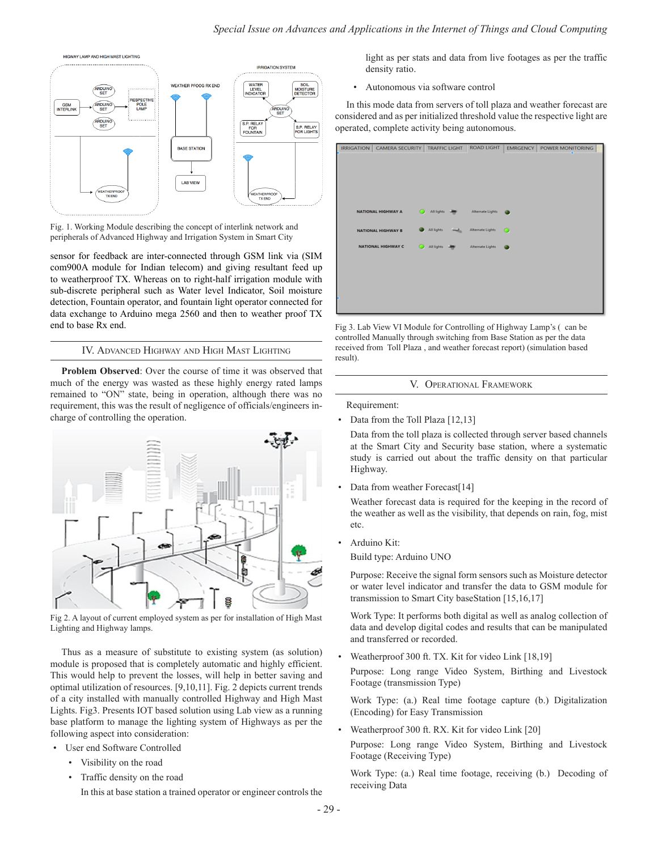

Fig. 1. Working Module describing the concept of interlink network and peripherals of Advanced Highway and Irrigation System in Smart City

sensor for feedback are inter-connected through GSM link via (SIM com900A module for Indian telecom) and giving resultant feed up to weatherproof TX. Whereas on to right-half irrigation module with sub-discrete peripheral such as Water level Indicator, Soil moisture detection, Fountain operator, and fountain light operator connected for data exchange to Arduino mega 2560 and then to weather proof TX end to base Rx end.

# IV. Advanced Highway and High Mast Lighting

**Problem Observed**: Over the course of time it was observed that much of the energy was wasted as these highly energy rated lamps remained to "ON" state, being in operation, although there was no requirement, this was the result of negligence of officials/engineers incharge of controlling the operation.



Fig 2. A layout of current employed system as per for installation of High Mast Lighting and Highway lamps.

Thus as a measure of substitute to existing system (as solution) module is proposed that is completely automatic and highly efficient. This would help to prevent the losses, will help in better saving and optimal utilization of resources. [9,10,11]. Fig. 2 depicts current trends of a city installed with manually controlled Highway and High Mast Lights. Fig3. Presents IOT based solution using Lab view as a running base platform to manage the lighting system of Highways as per the following aspect into consideration:

# User end Software Controlled

- Visibility on the road
- Traffic density on the road

In this at base station a trained operator or engineer controls the

light as per stats and data from live footages as per the traffic density ratio.

• Autonomous via software control

In this mode data from servers of toll plaza and weather forecast are considered and as per initialized threshold value the respective light are operated, complete activity being autonomous.



Fig 3. Lab View VI Module for Controlling of Highway Lamp's ( can be controlled Manually through switching from Base Station as per the data received from Toll Plaza , and weather forecast report) (simulation based result).

V. Operational Framework

Requirement:

• Data from the Toll Plaza [12,13]

Data from the toll plaza is collected through server based channels at the Smart City and Security base station, where a systematic study is carried out about the traffic density on that particular Highway.

Data from weather Forecast[14]

Weather forecast data is required for the keeping in the record of the weather as well as the visibility, that depends on rain, fog, mist etc.

• Arduino Kit:

Build type: Arduino UNO

Purpose: Receive the signal form sensors such as Moisture detector or water level indicator and transfer the data to GSM module for transmission to Smart City baseStation [15,16,17]

Work Type: It performs both digital as well as analog collection of data and develop digital codes and results that can be manipulated and transferred or recorded.

• Weatherproof 300 ft. TX. Kit for video Link [18,19]

Purpose: Long range Video System, Birthing and Livestock Footage (transmission Type)

Work Type: (a.) Real time footage capture (b.) Digitalization (Encoding) for Easy Transmission

• Weatherproof 300 ft. RX. Kit for video Link [20]

Purpose: Long range Video System, Birthing and Livestock Footage (Receiving Type)

Work Type: (a.) Real time footage, receiving (b.) Decoding of receiving Data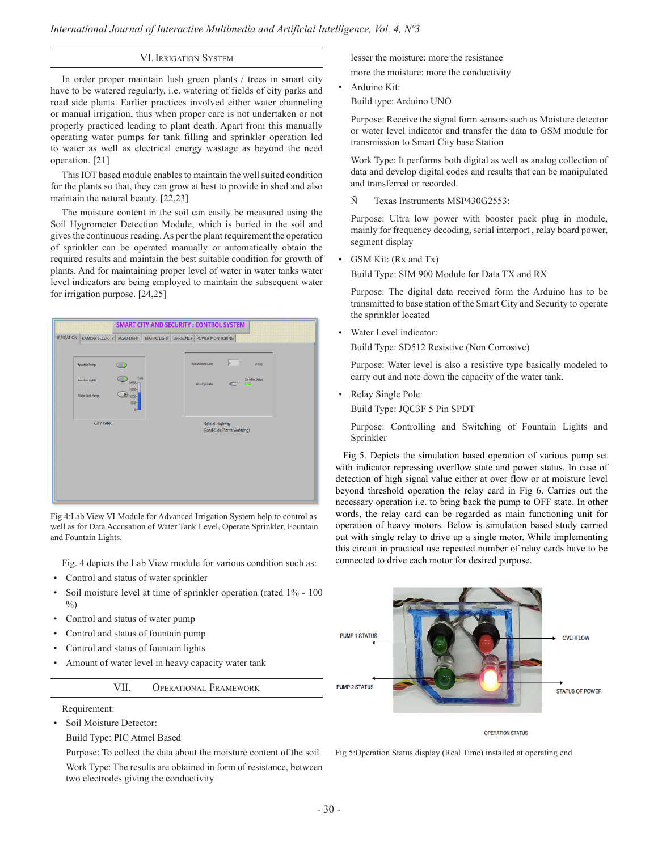# VI. IRRIGATION SYSTEM

In order proper maintain lush green plants / trees in smart city have to be watered regularly, i.e. watering of fields of city parks and road side plants. Earlier practices involved either water channeling or manual irrigation, thus when proper care is not undertaken or not properly practiced leading to plant death. Apart from this manually operating water pumps for tank filling and sprinkler operation led to water as well as electrical energy wastage as beyond the need operation. [21]

This IOT based module enables to maintain the well suited condition for the plants so that, they can grow at best to provide in shed and also maintain the natural beauty. [22,23]

The moisture content in the soil can easily be measured using the Soil Hygrometer Detection Module, which is buried in the soil and gives the continuous reading. As per the plant requirement the operation of sprinkler can be operated manually or automatically obtain the required results and maintain the best suitable condition for growth of plants. And for maintaining proper level of water in water tanks water level indicators are being employed to maintain the subsequent water for irrigation purpose. [24,25]



Fig 4:Lab View VI Module for Advanced Irrigation System help to control as well as for Data Accusation of Water Tank Level, Operate Sprinkler, Fountain and Fountain Lights.

Fig. 4 depicts the Lab View module for various condition such as:

- Control and status of water sprinkler
- Soil moisture level at time of sprinkler operation (rated 1% 100  $\frac{0}{0}$
- Control and status of water pump
- Control and status of fountain pump
- Control and status of fountain lights
- Amount of water level in heavy capacity water tank

VII. Operational Framework

- Requirement:
- Soil Moisture Detector:
- Build Type: PIC Atmel Based

Purpose: To collect the data about the moisture content of the soil Work Type: The results are obtained in form of resistance, between two electrodes giving the conductivity

lesser the moisture: more the resistance

more the moisture: more the conductivity

• Arduino Kit:

Build type: Arduino UNO

Purpose: Receive the signal form sensors such as Moisture detector or water level indicator and transfer the data to GSM module for transmission to Smart City base Station

Work Type: It performs both digital as well as analog collection of data and develop digital codes and results that can be manipulated and transferred or recorded.

Ñ Texas Instruments MSP430G2553:

Purpose: Ultra low power with booster pack plug in module, mainly for frequency decoding, serial interport , relay board power, segment display

• GSM Kit: (Rx and Tx)

Build Type: SIM 900 Module for Data TX and RX

Purpose: The digital data received form the Arduino has to be transmitted to base station of the Smart City and Security to operate the sprinkler located

Water Level indicator:

Build Type: SD512 Resistive (Non Corrosive)

Purpose: Water level is also a resistive type basically modeled to carry out and note down the capacity of the water tank.

• Relay Single Pole:

Build Type: JQC3F 5 Pin SPDT

Purpose: Controlling and Switching of Fountain Lights and Sprinkler

Fig 5. Depicts the simulation based operation of various pump set with indicator repressing overflow state and power status. In case of detection of high signal value either at over flow or at moisture level beyond threshold operation the relay card in Fig 6. Carries out the necessary operation i.e. to bring back the pump to OFF state. In other words, the relay card can be regarded as main functioning unit for operation of heavy motors. Below is simulation based study carried out with single relay to drive up a single motor. While implementing this circuit in practical use repeated number of relay cards have to be connected to drive each motor for desired purpose.



**OPERATION STATUS** 

Fig 5:Operation Status display (Real Time) installed at operating end.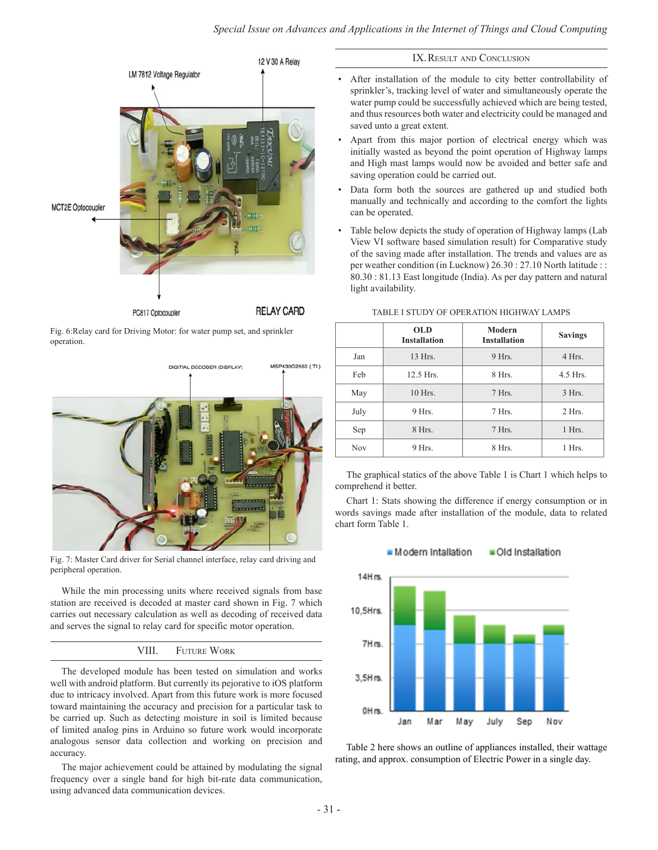

Fig. 6:Relay card for Driving Motor: for water pump set, and sprinkler operation.



Fig. 7: Master Card driver for Serial channel interface, relay card driving and peripheral operation.

While the min processing units where received signals from base station are received is decoded at master card shown in Fig. 7 which carries out necessary calculation as well as decoding of received data and serves the signal to relay card for specific motor operation.

# VIII. Future Work

The developed module has been tested on simulation and works well with android platform. But currently its pejorative to iOS platform due to intricacy involved. Apart from this future work is more focused toward maintaining the accuracy and precision for a particular task to be carried up. Such as detecting moisture in soil is limited because of limited analog pins in Arduino so future work would incorporate analogous sensor data collection and working on precision and accuracy.

The major achievement could be attained by modulating the signal frequency over a single band for high bit-rate data communication, using advanced data communication devices.

# IX. RESULT AND CONCLUSION

- After installation of the module to city better controllability of sprinkler's, tracking level of water and simultaneously operate the water pump could be successfully achieved which are being tested, and thus resources both water and electricity could be managed and saved unto a great extent.
- Apart from this major portion of electrical energy which was initially wasted as beyond the point operation of Highway lamps and High mast lamps would now be avoided and better safe and saving operation could be carried out.
- Data form both the sources are gathered up and studied both manually and technically and according to the comfort the lights can be operated.
- Table below depicts the study of operation of Highway lamps (Lab View VI software based simulation result) for Comparative study of the saving made after installation. The trends and values are as per weather condition (in Lucknow) 26.30 : 27.10 North latitude : : 80.30 : 81.13 East longitude (India). As per day pattern and natural light availability.

|            | <b>OLD</b><br><b>Installation</b> | Modern<br><b>Installation</b> | <b>Savings</b> |
|------------|-----------------------------------|-------------------------------|----------------|
| Jan        | 13 Hrs.                           | 9 Hrs.                        | 4 Hrs.         |
| Feb        | 12.5 Hrs.                         | 8 Hrs.                        | $4.5$ Hrs.     |
| May        | 10 Hrs.                           | 7 Hrs.                        | $3$ Hrs.       |
| July       | 9 Hrs.                            | 7 Hrs.                        | $2$ Hrs.       |
| Sep        | 8 Hrs.                            | 7 Hrs.                        | 1 Hrs.         |
| <b>Nov</b> | 9 Hrs.                            | 8 Hrs.                        | 1 Hrs.         |

#### TABLE I STUDY OF OPERATION HIGHWAY LAMPS

The graphical statics of the above Table 1 is Chart 1 which helps to comprehend it better.

Chart 1: Stats showing the difference if energy consumption or in words savings made after installation of the module, data to related chart form Table 1.



Table 2 here shows an outline of appliances installed, their wattage rating, and approx. consumption of Electric Power in a single day.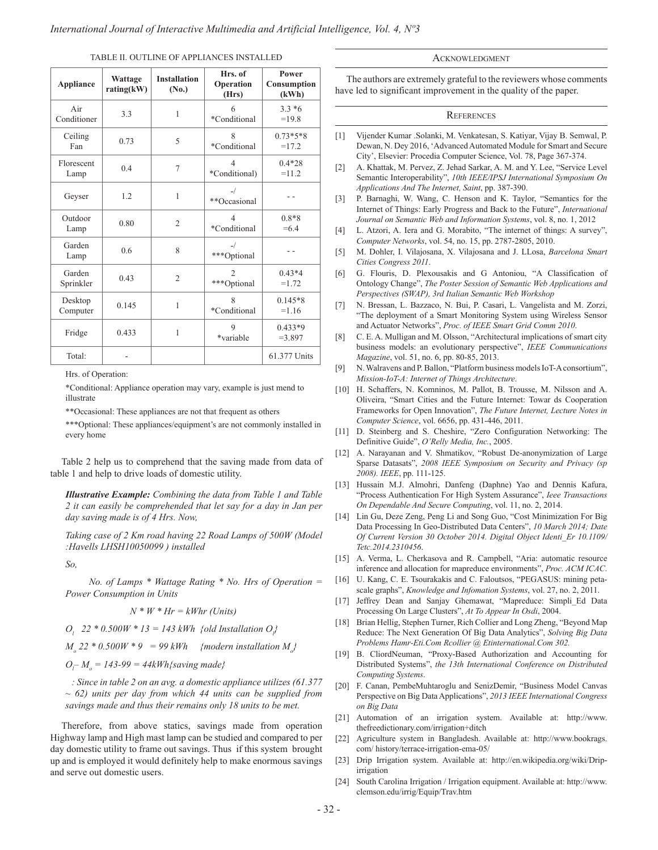TABLE II. OUTLINE OF APPLIANCES INSTALLED

| <b>Appliance</b>    | Wattage<br>rating(kW) | <b>Installation</b><br>(No.) | Hrs. of<br>Operation<br>(Hrs)            | Power<br>Consumption<br>(kWh) |
|---------------------|-----------------------|------------------------------|------------------------------------------|-------------------------------|
| Air<br>Conditioner  | 3.3                   | $\mathbf{1}$                 | 6<br>*Conditional                        | $3.3*6$<br>$=19.8$            |
| Ceiling<br>Fan      | 0.73                  | 5                            | 8<br>*Conditional                        | $0.73*5*8$<br>$=17.2$         |
| Florescent<br>Lamp  | 0.4                   | 7                            | $\overline{4}$<br>*Conditional)          | $0.4*28$<br>$=11.2$           |
| Geyser              | 1.2                   | 1                            | $-$ /<br>**Occasional                    |                               |
| Outdoor<br>Lamp     | 0.80                  | $\overline{2}$               | $\overline{\mathcal{A}}$<br>*Conditional | $0.8*8$<br>$=6.4$             |
| Garden<br>Lamp      | 0.6                   | 8                            | $-$ /<br>***Optional                     |                               |
| Garden<br>Sprinkler | 0.43                  | $\overline{2}$               | $\overline{2}$<br>***Optional            | $0.43*4$<br>$=1.72$           |
| Desktop<br>Computer | 0.145                 | 1                            | $\boldsymbol{8}$<br>*Conditional         | $0.145*8$<br>$=1.16$          |
| Fridge              | 0.433                 | 1                            | 9<br>*variable                           | $0.433*9$<br>$= 3.897$        |
| Total:              |                       |                              |                                          | 61.377 Units                  |

Hrs. of Operation:

\*Conditional: Appliance operation may vary, example is just mend to illustrate

\*\*Occasional: These appliances are not that frequent as others

\*\*\*Optional: These appliances/equipment's are not commonly installed in every home

Table 2 help us to comprehend that the saving made from data of table 1 and help to drive loads of domestic utility.

*Illustrative Example: Combining the data from Table 1 and Table 2 it can easily be comprehended that let say for a day in Jan per day saving made is of 4 Hrs. Now,*

*Taking case of 2 Km road having 22 Road Lamps of 500W (Model :Havells LHSH10050099 ) installed*

*So,* 

*No. of Lamps \* Wattage Rating \* No. Hrs of Operation = Power Consumption in Units* 

 *N \* W \* Hr = kWhr (Units)*

 $O_l$  22 \* 0.500W \* 13 = 143 kWh {old Installation  $O_l$ }

 $M_o$  22 \* 0.500W \* 9 = 99 kWh {modern installation  $M_o$ }

*Ol – Mo = 143-99 = 44kWh{saving made}*

 *: Since in table 2 on an avg. a domestic appliance utilizes (61.377 ~ 62) units per day from which 44 units can be supplied from savings made and thus their remains only 18 units to be met.*

Therefore, from above statics, savings made from operation Highway lamp and High mast lamp can be studied and compared to per day domestic utility to frame out savings. Thus if this system brought up and is employed it would definitely help to make enormous savings and serve out domestic users.

### **ACKNOWLEDGMENT**

The authors are extremely grateful to the reviewers whose comments have led to significant improvement in the quality of the paper.

## **REFERENCES**

- [1] Vijender Kumar .Solanki, M. Venkatesan, S. Katiyar, Vijay B. Semwal, P. Dewan, N. Dey 2016, 'Advanced Automated Module for Smart and Secure City', Elsevier: Procedia Computer Science, Vol. 78, Page 367-374.
- [2] A. Khattak, M. Pervez, Z. Jehad Sarkar, A. M. and Y. Lee, "Service Level Semantic Interoperability", *10th IEEE/IPSJ International Symposium On Applications And The Internet, Saint*, pp. 387-390.
- [3] P. Barnaghi, W. Wang, C. Henson and K. Taylor, "Semantics for the Internet of Things: Early Progress and Back to the Future", *International Journal on Semantic Web and Information Systems*, vol. 8, no. 1, 2012
- [4] L. Atzori, A. Iera and G. Morabito, "The internet of things: A survey", *Computer Networks*, vol. 54, no. 15, pp. 2787-2805, 2010.
- [5] M. Dohler, I. Vilajosana, X. Vilajosana and J. LLosa, *Barcelona Smart Cities Congress 2011*.
- [6] G. Flouris, D. Plexousakis and G Antoniou, "A Classification of Ontology Change", *The Poster Session of Semantic Web Applications and Perspectives (SWAP), 3rd Italian Semantic Web Workshop*
- [7] N. Bressan, L. Bazzaco, N. Bui, P. Casari, L. Vangelista and M. Zorzi, "The deployment of a Smart Monitoring System using Wireless Sensor and Actuator Networks", *Proc. of IEEE Smart Grid Comm 2010*.
- [8] C. E. A. Mulligan and M. Olsson, "Architectural implications of smart city business models: an evolutionary perspective", *IEEE Communications Magazine*, vol. 51, no. 6, pp. 80-85, 2013.
- [9] N. Walravens and P. Ballon, "Platform business models IoT-A consortium", *Mission-IoT-A: Internet of Things Architecture*.
- [10] H. Schaffers, N. Komninos, M. Pallot, B. Trousse, M. Nilsson and A. Oliveira, "Smart Cities and the Future Internet: Towar ds Cooperation Frameworks for Open Innovation", *The Future Internet, Lecture Notes in Computer Science*, vol. 6656, pp. 431-446, 2011.
- [11] D. Steinberg and S. Cheshire, "Zero Configuration Networking: The Definitive Guide", *O'Relly Media, Inc.*, 2005.
- [12] A. Narayanan and V. Shmatikov, "Robust De-anonymization of Large Sparse Datasats", *2008 IEEE Symposium on Security and Privacy (sp 2008). IEEE*, pp. 111-125.
- [13] Hussain M.J. Almohri, Danfeng (Daphne) Yao and Dennis Kafura, "Process Authentication For High System Assurance", *Ieee Transactions On Dependable And Secure Computing*, vol. 11, no. 2, 2014.
- [14] Lin Gu, Deze Zeng, Peng Li and Song Guo, "Cost Minimization For Big Data Processing In Geo-Distributed Data Centers", *10 March 2014; Date Of Current Version 30 October 2014. Digital Object Identi\_Er 10.1109/ Tetc.2014.2310456*.
- [15] A. Verma, L. Cherkasova and R. Campbell, "Aria: automatic resource inference and allocation for mapreduce environments", *Proc. ACM ICAC*.
- [16] U. Kang, C. E. Tsourakakis and C. Faloutsos, "PEGASUS: mining petascale graphs", *Knowledge and Infomation Systems*, vol. 27, no. 2, 2011.
- [17] Jeffrey Dean and Sanjay Ghemawat, "Mapreduce: Simpli\_Ed Data Processing On Large Clusters", *At To Appear In Osdi*, 2004.
- [18] Brian Hellig, Stephen Turner, Rich Collier and Long Zheng, "Beyond Map Reduce: The Next Generation Of Big Data Analytics", *Solving Big Data Problems Hamr-Eti.Com Rcollier @ Etinternational.Com 302.*
- [19] B. CliordNeuman, "Proxy-Based Authorization and Accounting for Distributed Systems", *the 13th International Conference on Distributed Computing Systems*.
- [20] F. Canan, PembeMuhtaroglu and SenizDemir, "Business Model Canvas Perspective on Big Data Applications", *2013 IEEE International Congress on Big Data*
- [21] Automation of an irrigation system. Available at: http://www. thefreedictionary.com/irrigation+ditch
- [22] Agriculture system in Bangladesh. Available at: http://www.bookrags. com/ history/terrace-irrigation-ema-05/
- [23] Drip Irrigation system. Available at: http://en.wikipedia.org/wiki/Dripirrigation
- [24] South Carolina Irrigation / Irrigation equipment. Available at: http://www. clemson.edu/irrig/Equip/Trav.htm